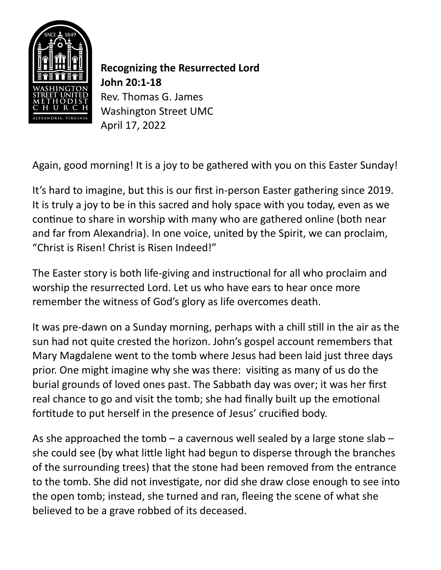

**Recognizing the Resurrected Lord John 20:1-18** Rev. Thomas G. James Washington Street UMC April 17, 2022

Again, good morning! It is a joy to be gathered with you on this Easter Sunday!

It's hard to imagine, but this is our first in-person Easter gathering since 2019. It is truly a joy to be in this sacred and holy space with you today, even as we continue to share in worship with many who are gathered online (both near and far from Alexandria). In one voice, united by the Spirit, we can proclaim, "Christ is Risen! Christ is Risen Indeed!"

The Easter story is both life-giving and instructional for all who proclaim and worship the resurrected Lord. Let us who have ears to hear once more remember the witness of God's glory as life overcomes death.

It was pre-dawn on a Sunday morning, perhaps with a chill still in the air as the sun had not quite crested the horizon. John's gospel account remembers that Mary Magdalene went to the tomb where Jesus had been laid just three days prior. One might imagine why she was there: visiting as many of us do the burial grounds of loved ones past. The Sabbath day was over; it was her first real chance to go and visit the tomb; she had finally built up the emotional fortitude to put herself in the presence of Jesus' crucified body.

As she approached the tomb  $-$  a cavernous well sealed by a large stone slab  $$ she could see (by what little light had begun to disperse through the branches of the surrounding trees) that the stone had been removed from the entrance to the tomb. She did not investigate, nor did she draw close enough to see into the open tomb; instead, she turned and ran, fleeing the scene of what she believed to be a grave robbed of its deceased.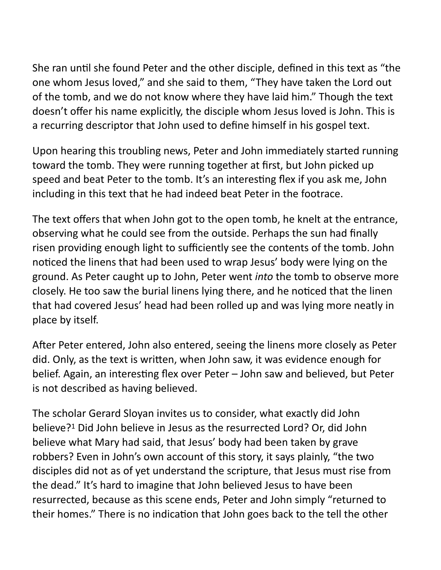She ran until she found Peter and the other disciple, defined in this text as "the one whom Jesus loved," and she said to them, "They have taken the Lord out of the tomb, and we do not know where they have laid him." Though the text doesn't offer his name explicitly, the disciple whom Jesus loved is John. This is a recurring descriptor that John used to define himself in his gospel text.

Upon hearing this troubling news, Peter and John immediately started running toward the tomb. They were running together at first, but John picked up speed and beat Peter to the tomb. It's an interesting flex if you ask me, John including in this text that he had indeed beat Peter in the footrace.

The text offers that when John got to the open tomb, he knelt at the entrance, observing what he could see from the outside. Perhaps the sun had finally risen providing enough light to sufficiently see the contents of the tomb. John noticed the linens that had been used to wrap Jesus' body were lying on the ground. As Peter caught up to John, Peter went *into* the tomb to observe more closely. He too saw the burial linens lying there, and he noticed that the linen that had covered Jesus' head had been rolled up and was lying more neatly in place by itself.

After Peter entered, John also entered, seeing the linens more closely as Peter did. Only, as the text is written, when John saw, it was evidence enough for belief. Again, an interesting flex over Peter – John saw and believed, but Peter is not described as having believed.

<span id="page-1-0"></span>The scholar Gerard Sloyan invites us to consider, what exactly did John believe[?](#page-6-0)<sup>[1](#page-6-0)</sup> Did John believe in Jesus as the resurrected Lord? Or, did John believe what Mary had said, that Jesus' body had been taken by grave robbers? Even in John's own account of this story, it says plainly, "the two disciples did not as of yet understand the scripture, that Jesus must rise from the dead." It's hard to imagine that John believed Jesus to have been resurrected, because as this scene ends, Peter and John simply "returned to their homes." There is no indication that John goes back to the tell the other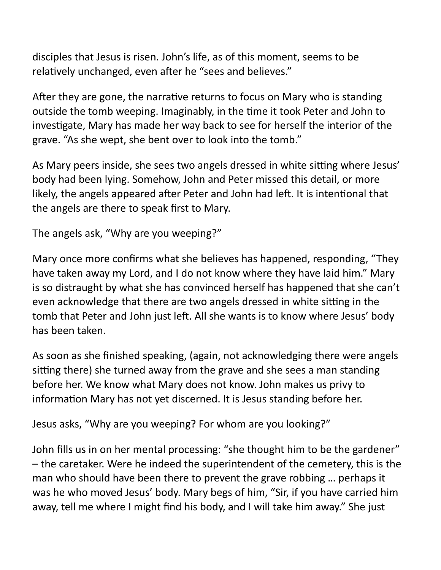disciples that Jesus is risen. John's life, as of this moment, seems to be relatively unchanged, even after he "sees and believes."

After they are gone, the narrative returns to focus on Mary who is standing outside the tomb weeping. Imaginably, in the time it took Peter and John to investigate, Mary has made her way back to see for herself the interior of the grave. "As she wept, she bent over to look into the tomb."

As Mary peers inside, she sees two angels dressed in white sitting where Jesus' body had been lying. Somehow, John and Peter missed this detail, or more likely, the angels appeared after Peter and John had left. It is intentional that the angels are there to speak first to Mary.

The angels ask, "Why are you weeping?"

Mary once more confirms what she believes has happened, responding, "They have taken away my Lord, and I do not know where they have laid him." Mary is so distraught by what she has convinced herself has happened that she can't even acknowledge that there are two angels dressed in white sitting in the tomb that Peter and John just left. All she wants is to know where Jesus' body has been taken.

As soon as she finished speaking, (again, not acknowledging there were angels sitting there) she turned away from the grave and she sees a man standing before her. We know what Mary does not know. John makes us privy to information Mary has not yet discerned. It is Jesus standing before her.

Jesus asks, "Why are you weeping? For whom are you looking?"

John fills us in on her mental processing: "she thought him to be the gardener" – the caretaker. Were he indeed the superintendent of the cemetery, this is the man who should have been there to prevent the grave robbing … perhaps it was he who moved Jesus' body. Mary begs of him, "Sir, if you have carried him away, tell me where I might find his body, and I will take him away." She just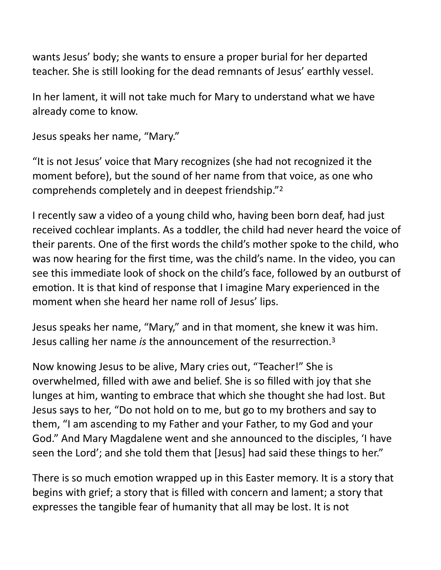wants Jesus' body; she wants to ensure a proper burial for her departed teacher. She is still looking for the dead remnants of Jesus' earthly vessel.

In her lament, it will not take much for Mary to understand what we have already come to know.

```
Jesus speaks her name, "Mary."
```
"It is not Jesus' voice that Mary recognizes (she had not recognized it the moment before), but the sound of her name from that voice, as one who comprehends completely and in deepest friendship."[2](#page-6-1)

<span id="page-3-0"></span>I recently saw a video of a young child who, having been born deaf, had just received cochlear implants. As a toddler, the child had never heard the voice of their parents. One of the first words the child's mother spoke to the child, who was now hearing for the first time, was the child's name. In the video, you can see this immediate look of shock on the child's face, followed by an outburst of emotion. It is that kind of response that I imagine Mary experienced in the moment when she heard her name roll of Jesus' lips.

<span id="page-3-1"></span>Jesus speaks her name, "Mary," and in that moment, she knew it was him. Jesus calling her name *is* the announcement of the resurrection[.3](#page-6-2)

Now knowing Jesus to be alive, Mary cries out, "Teacher!" She is overwhelmed, filled with awe and belief. She is so filled with joy that she lunges at him, wanting to embrace that which she thought she had lost. But Jesus says to her, "Do not hold on to me, but go to my brothers and say to them, "I am ascending to my Father and your Father, to my God and your God." And Mary Magdalene went and she announced to the disciples, 'I have seen the Lord'; and she told them that [Jesus] had said these things to her."

There is so much emotion wrapped up in this Easter memory. It is a story that begins with grief; a story that is filled with concern and lament; a story that expresses the tangible fear of humanity that all may be lost. It is not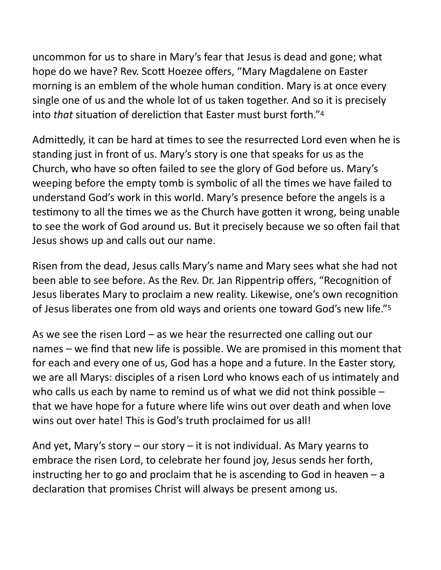uncommon for us to share in Mary's fear that Jesus is dead and gone; what hope do we have? Rev. Scott Hoezee offers, "Mary Magdalene on Easter morning is an emblem of the whole human condition. Mary is at once every single one of us and the whole lot of us taken together. And so it is precisely into *that* situation of dereliction that Easter must burst forth."[4](#page-6-3)

<span id="page-4-0"></span>Admittedly, it can be hard at times to see the resurrected Lord even when he is standing just in front of us. Mary's story is one that speaks for us as the Church, who have so often failed to see the glory of God before us. Mary's weeping before the empty tomb is symbolic of all the times we have failed to understand God's work in this world. Mary's presence before the angels is a testimony to all the times we as the Church have gotten it wrong, being unable to see the work of God around us. But it precisely because we so often fail that Jesus shows up and calls out our name.

Risen from the dead, Jesus calls Mary's name and Mary sees what she had not been able to see before. As the Rev. Dr. Jan Rippentrip offers, "Recognition of Jesus liberates Mary to proclaim a new reality. Likewise, one's own recognition of Jesus liberates one from old ways and orients one toward God's new life.["5](#page-6-4)

<span id="page-4-1"></span>As we see the risen Lord – as we hear the resurrected one calling out our names – we find that new life is possible. We are promised in this moment that for each and every one of us, God has a hope and a future. In the Easter story, we are all Marys: disciples of a risen Lord who knows each of us intimately and who calls us each by name to remind us of what we did not think possible – that we have hope for a future where life wins out over death and when love wins out over hate! This is God's truth proclaimed for us all!

And yet, Mary's story – our story – it is not individual. As Mary yearns to embrace the risen Lord, to celebrate her found joy, Jesus sends her forth, instructing her to go and proclaim that he is ascending to God in heaven – a declaration that promises Christ will always be present among us.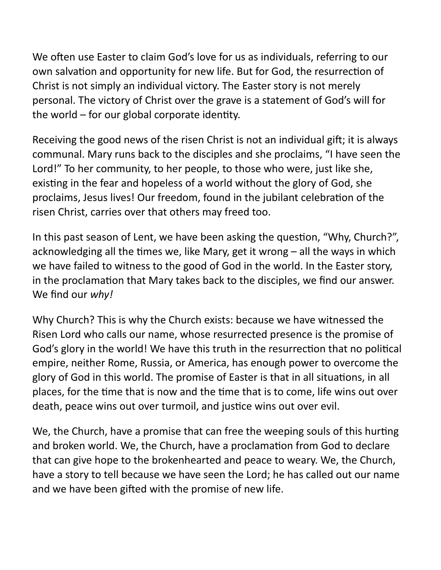We often use Easter to claim God's love for us as individuals, referring to our own salvation and opportunity for new life. But for God, the resurrection of Christ is not simply an individual victory. The Easter story is not merely personal. The victory of Christ over the grave is a statement of God's will for the world – for our global corporate identity.

Receiving the good news of the risen Christ is not an individual gift; it is always communal. Mary runs back to the disciples and she proclaims, "I have seen the Lord!" To her community, to her people, to those who were, just like she, existing in the fear and hopeless of a world without the glory of God, she proclaims, Jesus lives! Our freedom, found in the jubilant celebration of the risen Christ, carries over that others may freed too.

In this past season of Lent, we have been asking the question, "Why, Church?", acknowledging all the times we, like Mary, get it wrong – all the ways in which we have failed to witness to the good of God in the world. In the Easter story, in the proclamation that Mary takes back to the disciples, we find our answer. We find our *why!* 

Why Church? This is why the Church exists: because we have witnessed the Risen Lord who calls our name, whose resurrected presence is the promise of God's glory in the world! We have this truth in the resurrection that no political empire, neither Rome, Russia, or America, has enough power to overcome the glory of God in this world. The promise of Easter is that in all situations, in all places, for the time that is now and the time that is to come, life wins out over death, peace wins out over turmoil, and justice wins out over evil.

We, the Church, have a promise that can free the weeping souls of this hurting and broken world. We, the Church, have a proclamation from God to declare that can give hope to the brokenhearted and peace to weary. We, the Church, have a story to tell because we have seen the Lord; he has called out our name and we have been gifted with the promise of new life.